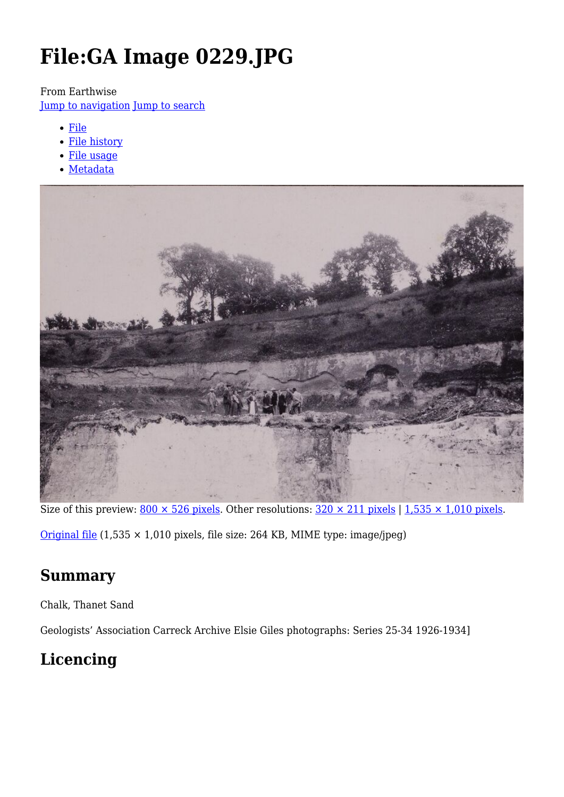# **File:GA Image 0229.JPG**

#### From Earthwise

[Jump to navigation](#page--1-0) [Jump to search](#page--1-0)

- [File](#page--1-0)
- [File history](#page--1-0)
- [File usage](#page--1-0)
- [Metadata](#page--1-0)



Size of this preview:  $800 \times 526$  pixels. Other resolutions:  $320 \times 211$  pixels | 1,535  $\times$  1,010 pixels.

[Original file](http://earthwise.bgs.ac.uk/images/3/3d/GA_Image_0229.JPG)  $(1,535 \times 1,010$  pixels, file size: 264 KB, MIME type: image/jpeg)

### **Summary**

Chalk, Thanet Sand

Geologists' Association Carreck Archive Elsie Giles photographs: Series 25-34 1926-1934]

# **Licencing**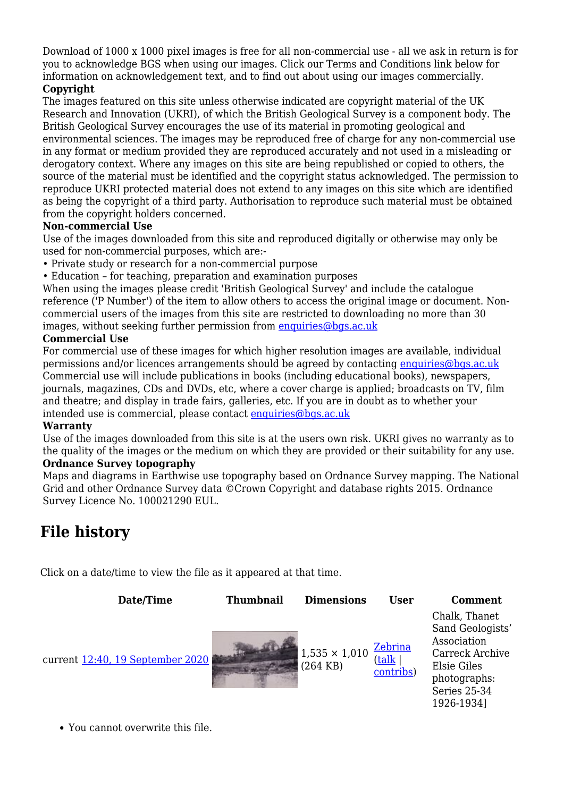Download of 1000 x 1000 pixel images is free for all non-commercial use - all we ask in return is for you to acknowledge BGS when using our images. Click our Terms and Conditions link below for information on acknowledgement text, and to find out about using our images commercially.

#### **Copyright**

The images featured on this site unless otherwise indicated are copyright material of the UK Research and Innovation (UKRI), of which the British Geological Survey is a component body. The British Geological Survey encourages the use of its material in promoting geological and environmental sciences. The images may be reproduced free of charge for any non-commercial use in any format or medium provided they are reproduced accurately and not used in a misleading or derogatory context. Where any images on this site are being republished or copied to others, the source of the material must be identified and the copyright status acknowledged. The permission to reproduce UKRI protected material does not extend to any images on this site which are identified as being the copyright of a third party. Authorisation to reproduce such material must be obtained from the copyright holders concerned.

#### **Non-commercial Use**

Use of the images downloaded from this site and reproduced digitally or otherwise may only be used for non-commercial purposes, which are:-

- Private study or research for a non-commercial purpose
- Education for teaching, preparation and examination purposes

When using the images please credit 'British Geological Survey' and include the catalogue reference ('P Number') of the item to allow others to access the original image or document. Noncommercial users of the images from this site are restricted to downloading no more than 30 images, without seeking further permission from [enquiries@bgs.ac.uk](mailto:enquiries@bgs.ac.uk)

#### **Commercial Use**

For commercial use of these images for which higher resolution images are available, individual permissions and/or licences arrangements should be agreed by contacting [enquiries@bgs.ac.uk](mailto:enquiries@bgs.ac.uk) Commercial use will include publications in books (including educational books), newspapers, journals, magazines, CDs and DVDs, etc, where a cover charge is applied; broadcasts on TV, film and theatre; and display in trade fairs, galleries, etc. If you are in doubt as to whether your intended use is commercial, please contact [enquiries@bgs.ac.uk](mailto:enquiries@bgs.ac.uk)

#### **Warranty**

Use of the images downloaded from this site is at the users own risk. UKRI gives no warranty as to the quality of the images or the medium on which they are provided or their suitability for any use. **Ordnance Survey topography**

Maps and diagrams in Earthwise use topography based on Ordnance Survey mapping. The National Grid and other Ordnance Survey data ©Crown Copyright and database rights 2015. Ordnance Survey Licence No. 100021290 EUL.

# **File history**

Click on a date/time to view the file as it appeared at that time.

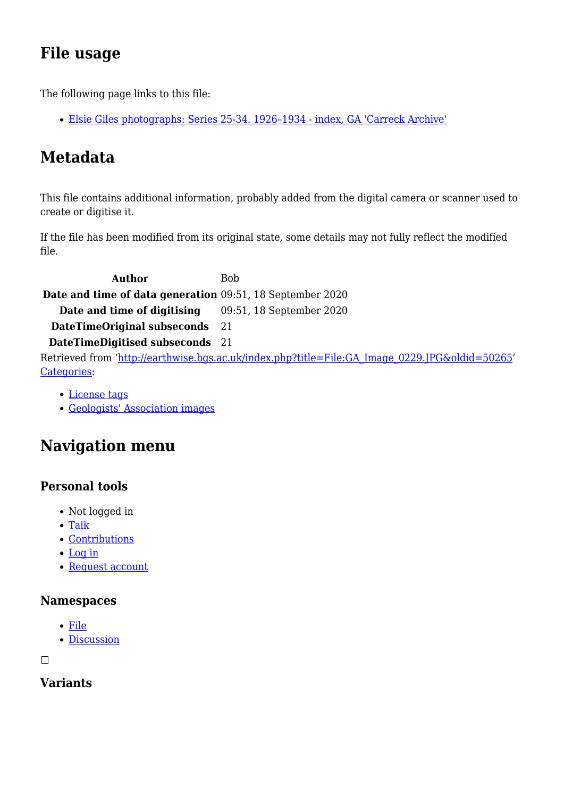# **File usage**

The following page links to this file:

[Elsie Giles photographs: Series 25-34. 1926–1934 - index, GA 'Carreck Archive'](http://earthwise.bgs.ac.uk/index.php/Elsie_Giles_photographs:_Series_25-34._1926%E2%80%931934_-_index,_GA_%27Carreck_Archive%27)

# **Metadata**

This file contains additional information, probably added from the digital camera or scanner used to create or digitise it.

If the file has been modified from its original state, some details may not fully reflect the modified file.

Author Bob **Date and time of data generation** 09:51, 18 September 2020 **Date and time of digitising** 09:51, 18 September 2020 **DateTimeOriginal subseconds** 21 **DateTimeDigitised subseconds** 21 Retrieved from ['http://earthwise.bgs.ac.uk/index.php?title=File:GA\\_Image\\_0229.JPG&oldid=50265](http://earthwise.bgs.ac.uk/index.php?title=File:GA_Image_0229.JPG&oldid=50265)' [Categories:](http://earthwise.bgs.ac.uk/index.php/Special:Categories)

- [License tags](http://earthwise.bgs.ac.uk/index.php/Category:License_tags)
- [Geologists' Association images](http://earthwise.bgs.ac.uk/index.php/Category:Geologists%27_Association_images)

# **Navigation menu**

### **Personal tools**

- Not logged in
- [Talk](http://earthwise.bgs.ac.uk/index.php/Special:MyTalk)
- [Contributions](http://earthwise.bgs.ac.uk/index.php/Special:MyContributions)
- [Log in](http://earthwise.bgs.ac.uk/index.php?title=Special:UserLogin&returnto=File%3AGA+Image+0229.JPG&returntoquery=action%3Dmpdf)
- [Request account](http://earthwise.bgs.ac.uk/index.php/Special:RequestAccount)

#### **Namespaces**

- [File](http://earthwise.bgs.ac.uk/index.php/File:GA_Image_0229.JPG)
- [Discussion](http://earthwise.bgs.ac.uk/index.php?title=File_talk:GA_Image_0229.JPG&action=edit&redlink=1)

 $\Box$ 

### **Variants**